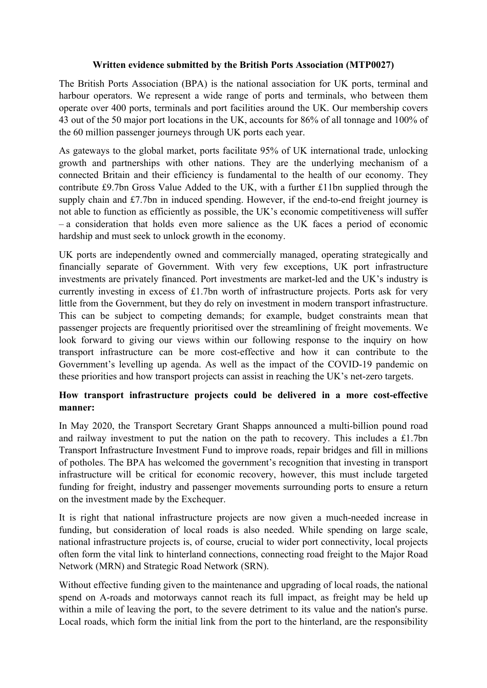#### **Written evidence submitted by the British Ports Association (MTP0027)**

The British Ports Association (BPA) is the national association for UK ports, terminal and harbour operators. We represent a wide range of ports and terminals, who between them operate over 400 ports, terminals and port facilities around the UK. Our membership covers 43 out of the 50 major port locations in the UK, accounts for 86% of all tonnage and 100% of the 60 million passenger journeys through UK ports each year.

As gateways to the global market, ports facilitate 95% of UK international trade, unlocking growth and partnerships with other nations. They are the underlying mechanism of a connected Britain and their efficiency is fundamental to the health of our economy. They contribute £9.7bn Gross Value Added to the UK, with a further £11bn supplied through the supply chain and £7.7bn in induced spending. However, if the end-to-end freight journey is not able to function as efficiently as possible, the UK's economic competitiveness will suffer – a consideration that holds even more salience as the UK faces a period of economic hardship and must seek to unlock growth in the economy.

UK ports are independently owned and commercially managed, operating strategically and financially separate of Government. With very few exceptions, UK port infrastructure investments are privately financed. Port investments are market-led and the UK's industry is currently investing in excess of £1.7bn worth of infrastructure projects. Ports ask for very little from the Government, but they do rely on investment in modern transport infrastructure. This can be subject to competing demands; for example, budget constraints mean that passenger projects are frequently prioritised over the streamlining of freight movements. We look forward to giving our views within our following response to the inquiry on how transport infrastructure can be more cost-effective and how it can contribute to the Government's levelling up agenda. As well as the impact of the COVID-19 pandemic on these priorities and how transport projects can assist in reaching the UK's net-zero targets.

#### **How transport infrastructure projects could be delivered in a more cost-effective manner:**

In May 2020, the Transport Secretary Grant Shapps announced a multi-billion pound road and railway investment to put the nation on the path to recovery. This includes a £1.7bn Transport Infrastructure Investment Fund to improve roads, repair bridges and fill in millions of potholes. The BPA has welcomed the government's recognition that investing in transport infrastructure will be critical for economic recovery, however, this must include targeted funding for freight, industry and passenger movements surrounding ports to ensure a return on the investment made by the Exchequer.

It is right that national infrastructure projects are now given a much-needed increase in funding, but consideration of local roads is also needed. While spending on large scale, national infrastructure projects is, of course, crucial to wider port connectivity, local projects often form the vital link to hinterland connections, connecting road freight to the Major Road Network (MRN) and Strategic Road Network (SRN).

Without effective funding given to the maintenance and upgrading of local roads, the national spend on A-roads and motorways cannot reach its full impact, as freight may be held up within a mile of leaving the port, to the severe detriment to its value and the nation's purse. Local roads, which form the initial link from the port to the hinterland, are the responsibility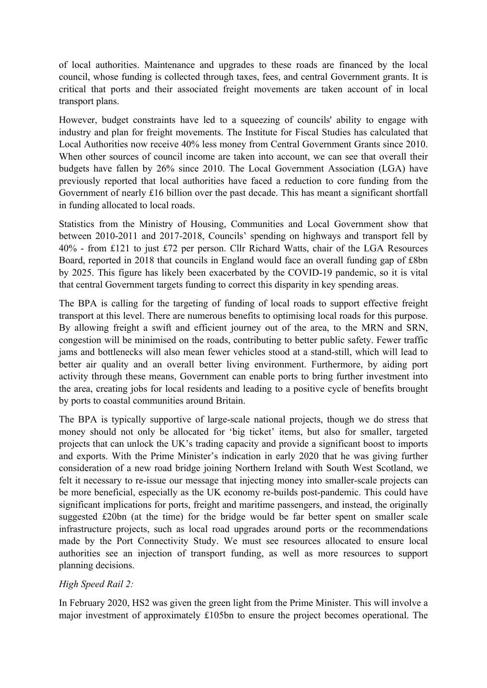of local authorities. Maintenance and upgrades to these roads are financed by the local council, whose funding is collected through taxes, fees, and central Government grants. It is critical that ports and their associated freight movements are taken account of in local transport plans.

However, budget constraints have led to a squeezing of councils' ability to engage with industry and plan for freight movements. The Institute for Fiscal Studies has calculated that Local Authorities now receive 40% less money from Central Government Grants since 2010. When other sources of council income are taken into account, we can see that overall their budgets have fallen by 26% since 2010. The Local Government Association (LGA) have previously reported that local authorities have faced a reduction to core funding from the Government of nearly £16 billion over the past decade. This has meant a significant shortfall in funding allocated to local roads.

Statistics from the Ministry of Housing, Communities and Local Government show that between 2010-2011 and 2017-2018, Councils' spending on highways and transport fell by 40% - from £121 to just £72 per person. Cllr Richard Watts, chair of the LGA Resources Board, reported in 2018 that councils in England would face an overall funding gap of £8bn by 2025. This figure has likely been exacerbated by the COVID-19 pandemic, so it is vital that central Government targets funding to correct this disparity in key spending areas.

The BPA is calling for the targeting of funding of local roads to support effective freight transport at this level. There are numerous benefits to optimising local roads for this purpose. By allowing freight a swift and efficient journey out of the area, to the MRN and SRN, congestion will be minimised on the roads, contributing to better public safety. Fewer traffic jams and bottlenecks will also mean fewer vehicles stood at a stand-still, which will lead to better air quality and an overall better living environment. Furthermore, by aiding port activity through these means, Government can enable ports to bring further investment into the area, creating jobs for local residents and leading to a positive cycle of benefits brought by ports to coastal communities around Britain.

The BPA is typically supportive of large-scale national projects, though we do stress that money should not only be allocated for 'big ticket' items, but also for smaller, targeted projects that can unlock the UK's trading capacity and provide a significant boost to imports and exports. With the Prime Minister's indication in early 2020 that he was giving further consideration of a new road bridge joining Northern Ireland with South West Scotland, we felt it necessary to re-issue our message that injecting money into smaller-scale projects can be more beneficial, especially as the UK economy re-builds post-pandemic. This could have significant implications for ports, freight and maritime passengers, and instead, the originally suggested £20bn (at the time) for the bridge would be far better spent on smaller scale infrastructure projects, such as local road upgrades around ports or the recommendations made by the Port Connectivity Study. We must see resources allocated to ensure local authorities see an injection of transport funding, as well as more resources to support planning decisions.

# *High Speed Rail 2:*

In February 2020, HS2 was given the green light from the Prime Minister. This will involve a major investment of approximately £105bn to ensure the project becomes operational. The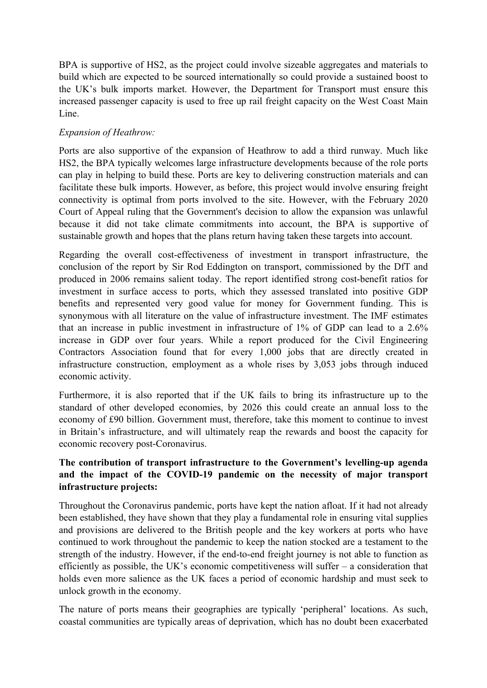BPA is supportive of HS2, as the project could involve sizeable aggregates and materials to build which are expected to be sourced internationally so could provide a sustained boost to the UK's bulk imports market. However, the Department for Transport must ensure this increased passenger capacity is used to free up rail freight capacity on the West Coast Main Line.

### *Expansion of Heathrow:*

Ports are also supportive of the expansion of Heathrow to add a third runway. Much like HS2, the BPA typically welcomes large infrastructure developments because of the role ports can play in helping to build these. Ports are key to delivering construction materials and can facilitate these bulk imports. However, as before, this project would involve ensuring freight connectivity is optimal from ports involved to the site. However, with the February 2020 Court of Appeal ruling that the Government's decision to allow the expansion was unlawful because it did not take climate commitments into account, the BPA is supportive of sustainable growth and hopes that the plans return having taken these targets into account.

Regarding the overall cost-effectiveness of investment in transport infrastructure, the conclusion of the report by Sir Rod Eddington on transport, commissioned by the DfT and produced in 2006 remains salient today. The report identified strong cost-benefit ratios for investment in surface access to ports, which they assessed translated into positive GDP benefits and represented very good value for money for Government funding. This is synonymous with all literature on the value of infrastructure investment. The IMF estimates that an increase in public investment in infrastructure of 1% of GDP can lead to a 2.6% increase in GDP over four years. While a report produced for the Civil Engineering Contractors Association found that for every 1,000 jobs that are directly created in infrastructure construction, employment as a whole rises by 3,053 jobs through induced economic activity.

Furthermore, it is also reported that if the UK fails to bring its infrastructure up to the standard of other developed economies, by 2026 this could create an annual loss to the economy of £90 billion. Government must, therefore, take this moment to continue to invest in Britain's infrastructure, and will ultimately reap the rewards and boost the capacity for economic recovery post-Coronavirus.

## **The contribution of transport infrastructure to the Government's levelling-up agenda and the impact of the COVID-19 pandemic on the necessity of major transport infrastructure projects:**

Throughout the Coronavirus pandemic, ports have kept the nation afloat. If it had not already been established, they have shown that they play a fundamental role in ensuring vital supplies and provisions are delivered to the British people and the key workers at ports who have continued to work throughout the pandemic to keep the nation stocked are a testament to the strength of the industry. However, if the end-to-end freight journey is not able to function as efficiently as possible, the UK's economic competitiveness will suffer – a consideration that holds even more salience as the UK faces a period of economic hardship and must seek to unlock growth in the economy.

The nature of ports means their geographies are typically 'peripheral' locations. As such, coastal communities are typically areas of deprivation, which has no doubt been exacerbated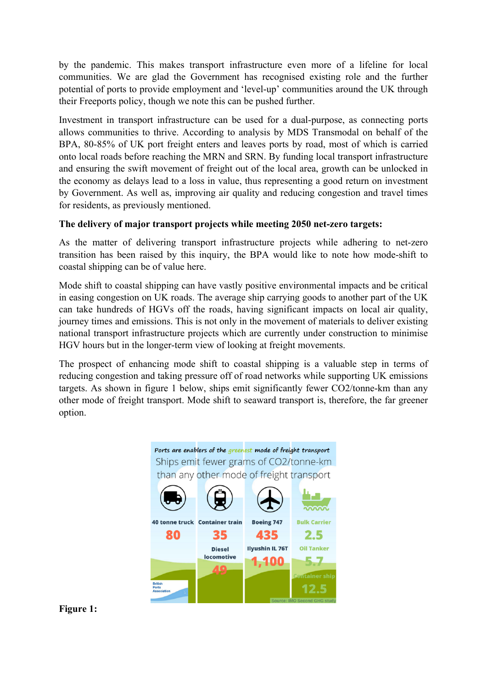by the pandemic. This makes transport infrastructure even more of a lifeline for local communities. We are glad the Government has recognised existing role and the further potential of ports to provide employment and 'level-up' communities around the UK through their Freeports policy, though we note this can be pushed further.

Investment in transport infrastructure can be used for a dual-purpose, as connecting ports allows communities to thrive. According to analysis by MDS Transmodal on behalf of the BPA, 80-85% of UK port freight enters and leaves ports by road, most of which is carried onto local roads before reaching the MRN and SRN. By funding local transport infrastructure and ensuring the swift movement of freight out of the local area, growth can be unlocked in the economy as delays lead to a loss in value, thus representing a good return on investment by Government. As well as, improving air quality and reducing congestion and travel times for residents, as previously mentioned.

### **The delivery of major transport projects while meeting 2050 net-zero targets:**

As the matter of delivering transport infrastructure projects while adhering to net-zero transition has been raised by this inquiry, the BPA would like to note how mode-shift to coastal shipping can be of value here.

Mode shift to coastal shipping can have vastly positive environmental impacts and be critical in easing congestion on UK roads. The average ship carrying goods to another part of the UK can take hundreds of HGVs off the roads, having significant impacts on local air quality, journey times and emissions. This is not only in the movement of materials to deliver existing national transport infrastructure projects which are currently under construction to minimise HGV hours but in the longer-term view of looking at freight movements.

The prospect of enhancing mode shift to coastal shipping is a valuable step in terms of reducing congestion and taking pressure off of road networks while supporting UK emissions targets. As shown in figure 1 below, ships emit significantly fewer CO2/tonne-km than any other mode of freight transport. Mode shift to seaward transport is, therefore, the far greener option.



**Figure 1:**